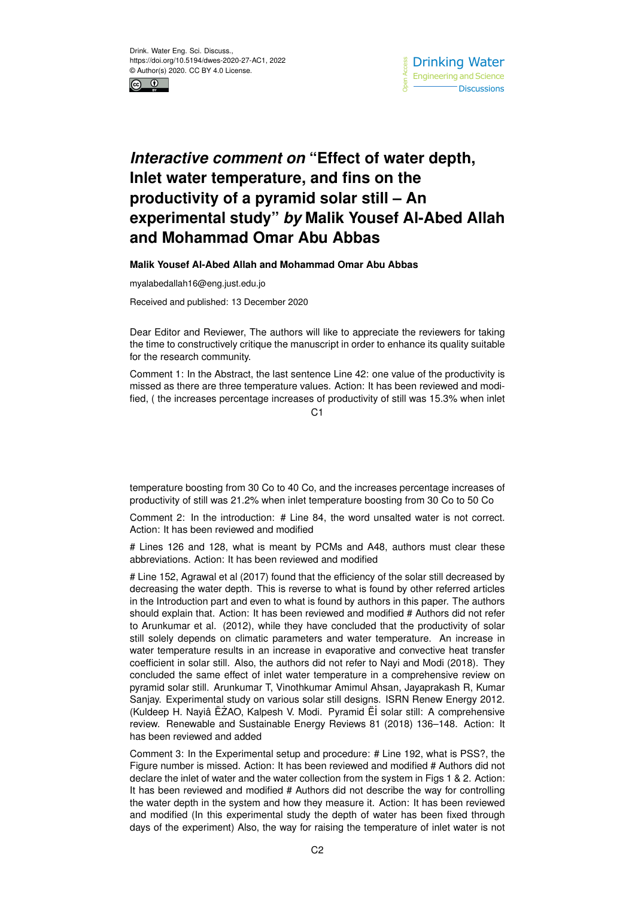



## *Interactive comment on* **"Effect of water depth, Inlet water temperature, and fins on the productivity of a pyramid solar still – An experimental study"** *by* **Malik Yousef Al-Abed Allah and Mohammad Omar Abu Abbas**

## **Malik Yousef Al-Abed Allah and Mohammad Omar Abu Abbas**

myalabedallah16@eng.just.edu.jo

Received and published: 13 December 2020

Dear Editor and Reviewer, The authors will like to appreciate the reviewers for taking the time to constructively critique the manuscript in order to enhance its quality suitable for the research community.

Comment 1: In the Abstract, the last sentence Line 42: one value of the productivity is missed as there are three temperature values. Action: It has been reviewed and modified, ( the increases percentage increases of productivity of still was 15.3% when inlet

 $C<sub>1</sub>$ 

temperature boosting from 30 Co to 40 Co, and the increases percentage increases of productivity of still was 21.2% when inlet temperature boosting from 30 Co to 50 Co

Comment 2: In the introduction: # Line 84, the word unsalted water is not correct. Action: It has been reviewed and modified

# Lines 126 and 128, what is meant by PCMs and A48, authors must clear these abbreviations. Action: It has been reviewed and modified

# Line 152, Agrawal et al (2017) found that the efficiency of the solar still decreased by decreasing the water depth. This is reverse to what is found by other referred articles in the Introduction part and even to what is found by authors in this paper. The authors should explain that. Action: It has been reviewed and modified # Authors did not refer to Arunkumar et al. (2012), while they have concluded that the productivity of solar still solely depends on climatic parameters and water temperature. An increase in water temperature results in an increase in evaporative and convective heat transfer coefficient in solar still. Also, the authors did not refer to Nayi and Modi (2018). They concluded the same effect of inlet water temperature in a comprehensive review on pyramid solar still. Arunkumar T, Vinothkumar Amimul Ahsan, Jayaprakash R, Kumar Sanjay. Experimental study on various solar still designs. ISRN Renew Energy 2012. (Kuldeep H. Nayiâ ËŻAO, Kalpesh V. Modi. Pyramid Ëİ solar still: A comprehensive review. Renewable and Sustainable Energy Reviews 81 (2018) 136–148. Action: It has been reviewed and added

Comment 3: In the Experimental setup and procedure: # Line 192, what is PSS?, the Figure number is missed. Action: It has been reviewed and modified # Authors did not declare the inlet of water and the water collection from the system in Figs 1 & 2. Action: It has been reviewed and modified # Authors did not describe the way for controlling the water depth in the system and how they measure it. Action: It has been reviewed and modified (In this experimental study the depth of water has been fixed through days of the experiment) Also, the way for raising the temperature of inlet water is not